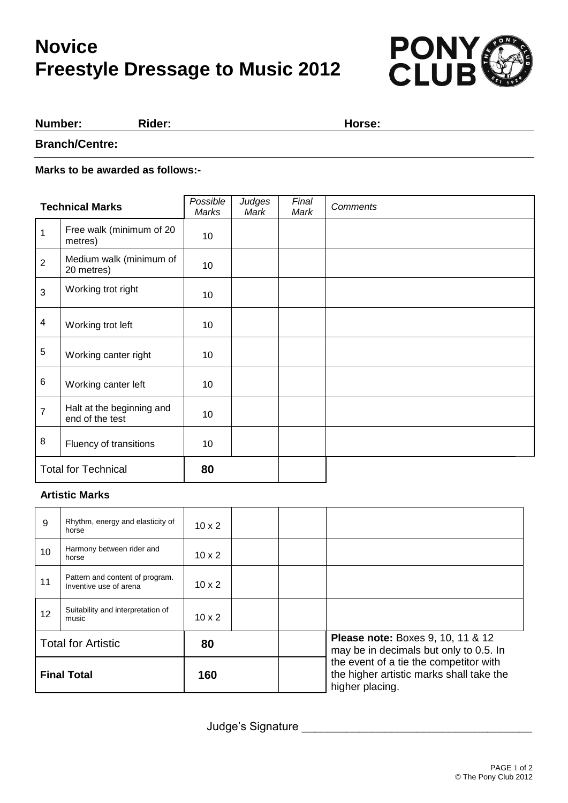# **Novice Freestyle Dressage to Music 2012**



#### **Number: Rider: Horse:**

**Branch/Centre:**

**Marks to be awarded as follows:-**

| <b>Technical Marks</b>     |                                              | Possible<br>Marks | Judges<br>Mark | Final<br>Mark | <b>Comments</b> |
|----------------------------|----------------------------------------------|-------------------|----------------|---------------|-----------------|
| $\mathbf{1}$               | Free walk (minimum of 20<br>metres)          | 10                |                |               |                 |
| $\overline{2}$             | Medium walk (minimum of<br>20 metres)        | 10                |                |               |                 |
| 3                          | Working trot right                           | 10                |                |               |                 |
| $\overline{\mathbf{4}}$    | Working trot left                            | 10                |                |               |                 |
| 5                          | Working canter right                         | 10                |                |               |                 |
| 6                          | Working canter left                          | 10                |                |               |                 |
| $\overline{7}$             | Halt at the beginning and<br>end of the test | 10                |                |               |                 |
| 8                          | Fluency of transitions                       | 10                |                |               |                 |
| <b>Total for Technical</b> |                                              | 80                |                |               |                 |

#### **Artistic Marks**

| 9                         | Rhythm, energy and elasticity of<br>horse                 | $10 \times 2$ |  |                                                                                                       |
|---------------------------|-----------------------------------------------------------|---------------|--|-------------------------------------------------------------------------------------------------------|
| 10                        | Harmony between rider and<br>horse                        | $10 \times 2$ |  |                                                                                                       |
| 11                        | Pattern and content of program.<br>Inventive use of arena | $10 \times 2$ |  |                                                                                                       |
| 12                        | Suitability and interpretation of<br>music                | $10 \times 2$ |  |                                                                                                       |
| <b>Total for Artistic</b> |                                                           | 80            |  | <b>Please note:</b> Boxes 9, 10, 11 & 12<br>may be in decimals but only to 0.5. In                    |
| <b>Final Total</b>        |                                                           | 160           |  | the event of a tie the competitor with<br>the higher artistic marks shall take the<br>higher placing. |